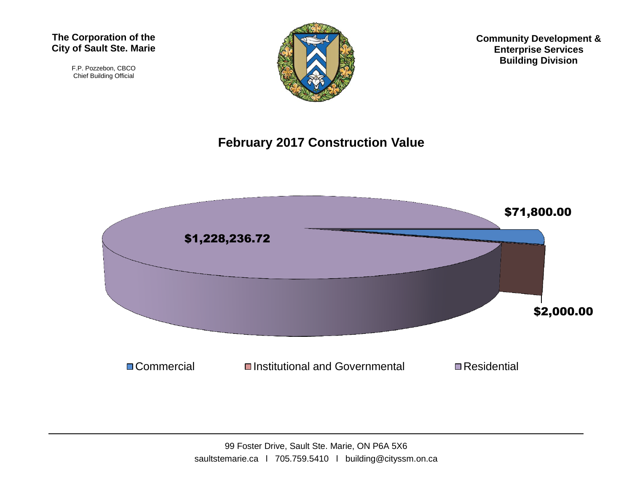#### **The Corporation of the City of Sault Ste. Marie**

F.P. Pozzebon, CBCO Chief Building Official



**Community Development & Enterprise Services Building Division**

#### **February 2017 Construction Value**

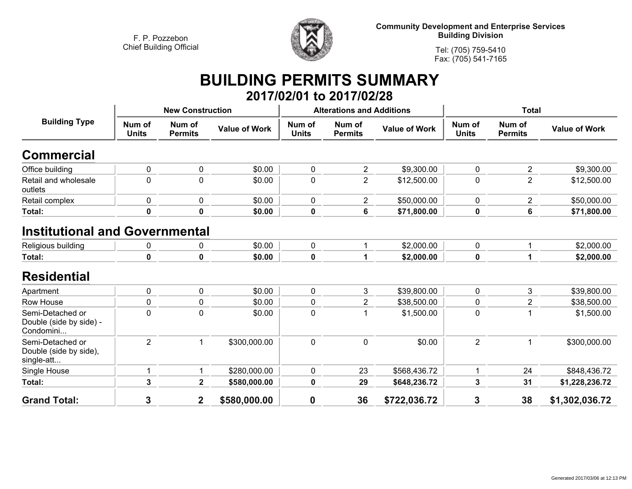

**Community Development and Enterprise Services Building Division**

**Tel: (705) 759-5410Fax: (705) 541-7165**

## **BUILDING PERMITS SUMMARY 2017/02/01 to 2017/02/28**

| <b>Building Type</b>                                     | <b>New Construction</b> |                          |                      | <b>Alterations and Additions</b> |                          |                      | <b>Total</b>           |                          |                      |
|----------------------------------------------------------|-------------------------|--------------------------|----------------------|----------------------------------|--------------------------|----------------------|------------------------|--------------------------|----------------------|
|                                                          | Num of<br><b>Units</b>  | Num of<br><b>Permits</b> | <b>Value of Work</b> | Num of<br><b>Units</b>           | Num of<br><b>Permits</b> | <b>Value of Work</b> | Num of<br><b>Units</b> | Num of<br><b>Permits</b> | <b>Value of Work</b> |
| <b>Commercial</b>                                        |                         |                          |                      |                                  |                          |                      |                        |                          |                      |
| Office building                                          | 0                       | $\mathbf 0$              | \$0.00               | $\mathbf 0$                      | $\overline{\mathbf{c}}$  | \$9,300.00           | $\mathbf 0$            | $\overline{2}$           | \$9,300.00           |
| Retail and wholesale<br>outlets                          | 0                       | $\mathbf 0$              | \$0.00               | $\mathbf 0$                      | $\overline{2}$           | \$12,500.00          | $\mathbf 0$            | $\overline{2}$           | \$12,500.00          |
| Retail complex                                           | 0                       | $\mathbf 0$              | \$0.00               | $\mathbf 0$                      | $\overline{\mathbf{c}}$  | \$50,000.00          | 0                      | $\overline{c}$           | \$50,000.00          |
| Total:                                                   | 0                       | 0                        | \$0.00               | $\mathbf 0$                      | 6                        | \$71,800.00          | $\mathbf 0$            | $6\phantom{a}$           | \$71,800.00          |
| <b>Institutional and Governmental</b>                    |                         |                          |                      |                                  |                          |                      |                        |                          |                      |
| Religious building                                       | 0                       | 0                        | \$0.00               | $\mathbf 0$                      |                          | \$2,000.00           | $\mathbf 0$            | 1                        | \$2,000.00           |
| Total:                                                   | 0                       | 0                        | \$0.00               | $\pmb{0}$                        | 1                        | \$2,000.00           | $\mathbf 0$            | 1                        | \$2,000.00           |
| <b>Residential</b>                                       |                         |                          |                      |                                  |                          |                      |                        |                          |                      |
| Apartment                                                | 0                       | $\mathbf 0$              | \$0.00               | $\mathbf 0$                      | 3                        | \$39,800.00          | $\mathbf 0$            | 3                        | \$39,800.00          |
| Row House                                                | 0                       | $\pmb{0}$                | \$0.00               | $\pmb{0}$                        | $\overline{2}$           | \$38,500.00          | $\mathbf 0$            | 2                        | \$38,500.00          |
| Semi-Detached or<br>Double (side by side) -<br>Condomini | 0                       | $\mathbf 0$              | \$0.00               | $\mathbf 0$                      |                          | \$1,500.00           | $\mathbf 0$            |                          | \$1,500.00           |
| Semi-Detached or<br>Double (side by side),<br>single-att | $\overline{2}$          | 1                        | \$300,000.00         | $\mathbf 0$                      | $\mathbf 0$              | \$0.00               | $\overline{2}$         |                          | \$300,000.00         |
| Single House                                             |                         | 1                        | \$280,000.00         | $\mathbf 0$                      | 23                       | \$568,436.72         |                        | 24                       | \$848,436.72         |
| Total:                                                   | 3                       | $\overline{\mathbf{2}}$  | \$580,000.00         | $\mathbf 0$                      | 29                       | \$648,236.72         | $\mathbf 3$            | 31                       | \$1,228,236.72       |
| <b>Grand Total:</b>                                      | 3                       | $\mathbf 2$              | \$580,000.00         | 0                                | 36                       | \$722,036.72         | 3                      | 38                       | \$1,302,036.72       |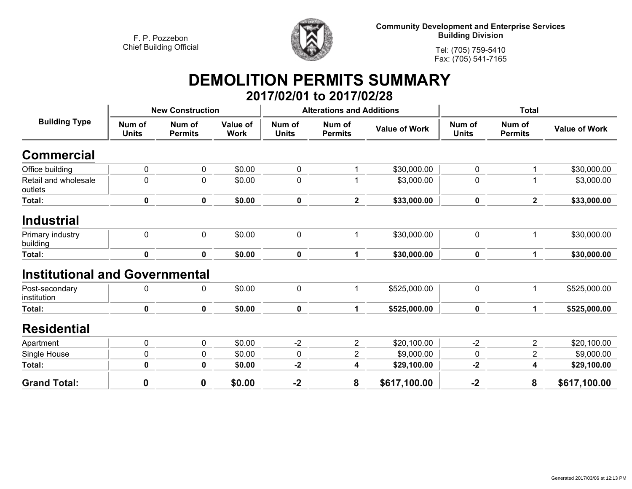

**Community Development and Enterprise Services Building Division**

**Tel: (705) 759-5410Fax: (705) 541-7165**

## **DEMOLITION PERMITS SUMMARY 2017/02/01 to 2017/02/28**

| <b>Building Type</b>                  | <b>New Construction</b> |                          |                         |                        | <b>Alterations and Additions</b> |                      | <b>Total</b>           |                          |                      |
|---------------------------------------|-------------------------|--------------------------|-------------------------|------------------------|----------------------------------|----------------------|------------------------|--------------------------|----------------------|
|                                       | Num of<br><b>Units</b>  | Num of<br><b>Permits</b> | Value of<br><b>Work</b> | Num of<br><b>Units</b> | Num of<br><b>Permits</b>         | <b>Value of Work</b> | Num of<br><b>Units</b> | Num of<br><b>Permits</b> | <b>Value of Work</b> |
| <b>Commercial</b>                     |                         |                          |                         |                        |                                  |                      |                        |                          |                      |
| Office building                       | 0                       | $\mathbf 0$              | \$0.00                  | $\mathbf 0$            |                                  | \$30,000.00          | 0                      | 1                        | \$30,000.00          |
| Retail and wholesale<br>outlets       | 0                       | 0                        | \$0.00                  | $\mathbf 0$            |                                  | \$3,000.00           | 0                      | 1                        | \$3,000.00           |
| Total:                                | $\mathbf 0$             | $\mathbf 0$              | \$0.00                  | $\mathbf 0$            | $\mathbf{2}$                     | \$33,000.00          | 0                      | $\overline{2}$           | \$33,000.00          |
| <b>Industrial</b>                     |                         |                          |                         |                        |                                  |                      |                        |                          |                      |
| Primary industry<br>building          | $\mathbf 0$             | $\mathbf 0$              | \$0.00                  | $\mathbf 0$            | 1                                | \$30,000.00          | 0                      | 1                        | \$30,000.00          |
| Total:                                | $\mathbf 0$             | $\mathbf 0$              | \$0.00                  | $\mathbf 0$            | $\mathbf 1$                      | \$30,000.00          | 0                      | $\mathbf{1}$             | \$30,000.00          |
| <b>Institutional and Governmental</b> |                         |                          |                         |                        |                                  |                      |                        |                          |                      |
| Post-secondary<br>institution         | 0                       | 0                        | \$0.00                  | $\mathbf 0$            | 1                                | \$525,000.00         | 0                      | 1                        | \$525,000.00         |
| Total:                                | $\mathbf 0$             | $\mathbf 0$              | \$0.00                  | $\mathbf 0$            | $\mathbf 1$                      | \$525,000.00         | 0                      | $\mathbf 1$              | \$525,000.00         |
| <b>Residential</b>                    |                         |                          |                         |                        |                                  |                      |                        |                          |                      |
| Apartment                             | $\pmb{0}$               | $\mathbf 0$              | \$0.00                  | $-2$                   | $\overline{2}$                   | \$20,100.00          | $-2$                   | $\overline{2}$           | \$20,100.00          |
| Single House                          | 0                       | $\mathbf 0$              | \$0.00                  | $\mathbf 0$            | 2                                | \$9,000.00           | 0                      | $\overline{2}$           | \$9,000.00           |
| Total:                                | 0                       | 0                        | \$0.00                  | $-2$                   | 4                                | \$29,100.00          | $-2$                   | 4                        | \$29,100.00          |
| <b>Grand Total:</b>                   | $\boldsymbol{0}$        | $\mathbf 0$              | \$0.00                  | $-2$                   | 8                                | \$617,100.00         | $-2$                   | 8                        | \$617,100.00         |